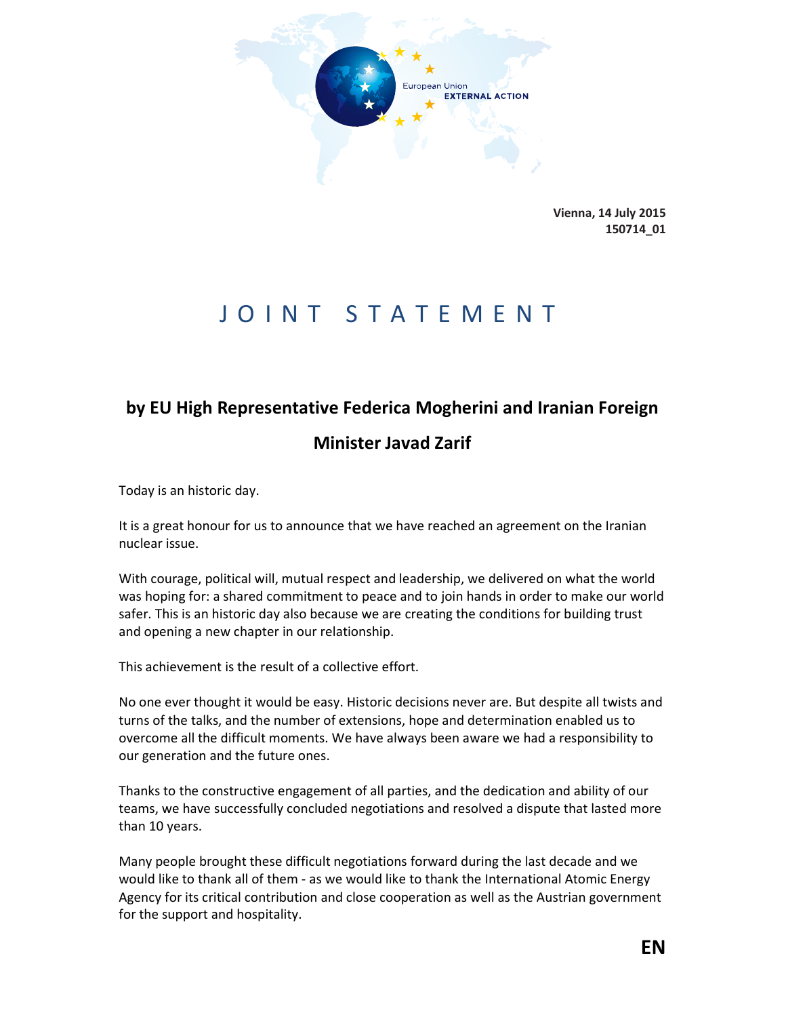

**Vienna, 14 July 2015 150714\_01**

## JOINT STATEMENT

## **by EU High Representative Federica Mogherini and Iranian Foreign**

## **Minister Javad Zarif**

Today is an historic day.

It is a great honour for us to announce that we have reached an agreement on the Iranian nuclear issue.

With courage, political will, mutual respect and leadership, we delivered on what the world was hoping for: a shared commitment to peace and to join hands in order to make our world safer. This is an historic day also because we are creating the conditions for building trust and opening a new chapter in our relationship.

This achievement is the result of a collective effort.

No one ever thought it would be easy. Historic decisions never are. But despite all twists and turns of the talks, and the number of extensions, hope and determination enabled us to overcome all the difficult moments. We have always been aware we had a responsibility to our generation and the future ones.

Thanks to the constructive engagement of all parties, and the dedication and ability of our teams, we have successfully concluded negotiations and resolved a dispute that lasted more than 10 years.

Many people brought these difficult negotiations forward during the last decade and we would like to thank all of them - as we would like to thank the International Atomic Energy Agency for its critical contribution and close cooperation as well as the Austrian government for the support and hospitality.